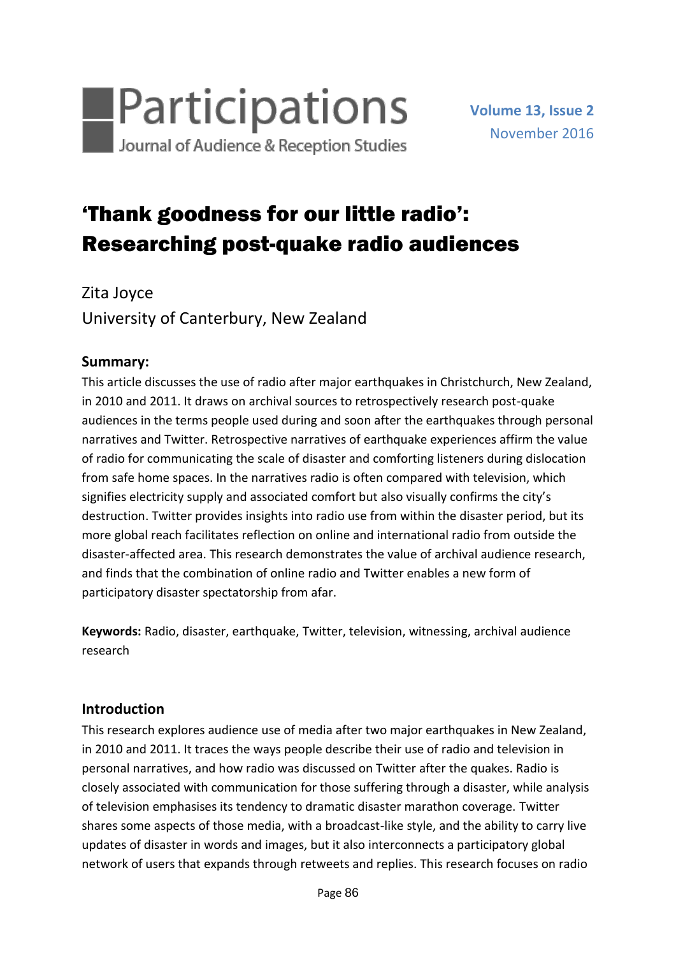

# 'Thank goodness for our little radio': Researching post-quake radio audiences

Zita Joyce University of Canterbury, New Zealand

## **Summary:**

This article discusses the use of radio after major earthquakes in Christchurch, New Zealand, in 2010 and 2011. It draws on archival sources to retrospectively research post-quake audiences in the terms people used during and soon after the earthquakes through personal narratives and Twitter. Retrospective narratives of earthquake experiences affirm the value of radio for communicating the scale of disaster and comforting listeners during dislocation from safe home spaces. In the narratives radio is often compared with television, which signifies electricity supply and associated comfort but also visually confirms the city's destruction. Twitter provides insights into radio use from within the disaster period, but its more global reach facilitates reflection on online and international radio from outside the disaster-affected area. This research demonstrates the value of archival audience research, and finds that the combination of online radio and Twitter enables a new form of participatory disaster spectatorship from afar.

**Keywords:** Radio, disaster, earthquake, Twitter, television, witnessing, archival audience research

## **Introduction**

This research explores audience use of media after two major earthquakes in New Zealand, in 2010 and 2011. It traces the ways people describe their use of radio and television in personal narratives, and how radio was discussed on Twitter after the quakes. Radio is closely associated with communication for those suffering through a disaster, while analysis of television emphasises its tendency to dramatic disaster marathon coverage. Twitter shares some aspects of those media, with a broadcast-like style, and the ability to carry live updates of disaster in words and images, but it also interconnects a participatory global network of users that expands through retweets and replies. This research focuses on radio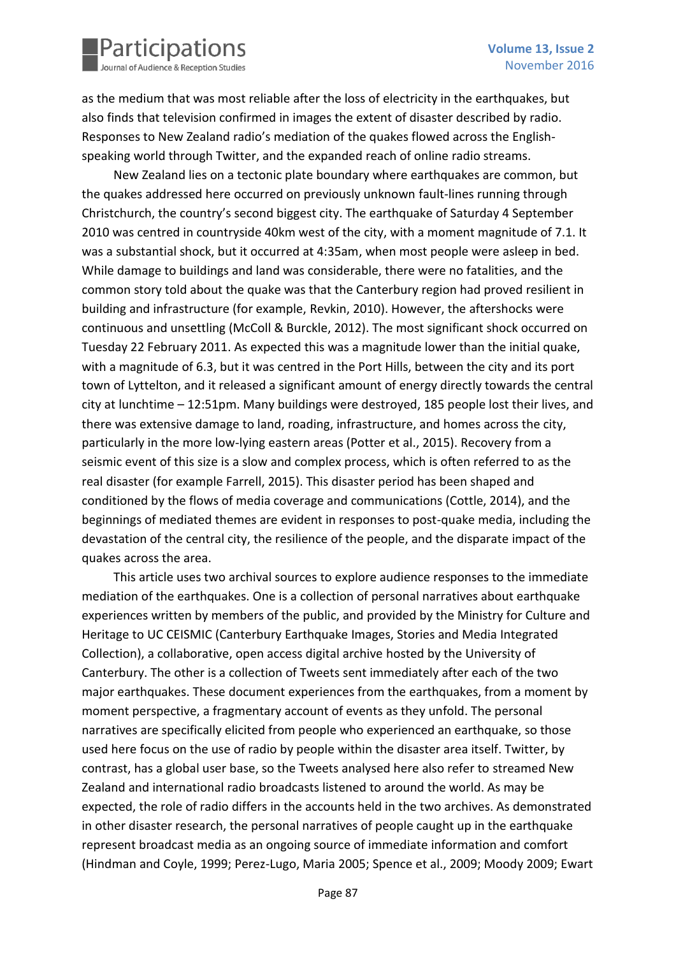

as the medium that was most reliable after the loss of electricity in the earthquakes, but also finds that television confirmed in images the extent of disaster described by radio. Responses to New Zealand radio's mediation of the quakes flowed across the Englishspeaking world through Twitter, and the expanded reach of online radio streams.

New Zealand lies on a tectonic plate boundary where earthquakes are common, but the quakes addressed here occurred on previously unknown fault-lines running through Christchurch, the country's second biggest city. The earthquake of Saturday 4 September 2010 was centred in countryside 40km west of the city, with a moment magnitude of 7.1. It was a substantial shock, but it occurred at 4:35am, when most people were asleep in bed. While damage to buildings and land was considerable, there were no fatalities, and the common story told about the quake was that the Canterbury region had proved resilient in building and infrastructure (for example, Revkin, 2010). However, the aftershocks were continuous and unsettling (McColl & Burckle, 2012). The most significant shock occurred on Tuesday 22 February 2011. As expected this was a magnitude lower than the initial quake, with a magnitude of 6.3, but it was centred in the Port Hills, between the city and its port town of Lyttelton, and it released a significant amount of energy directly towards the central city at lunchtime – 12:51pm. Many buildings were destroyed, 185 people lost their lives, and there was extensive damage to land, roading, infrastructure, and homes across the city, particularly in the more low-lying eastern areas (Potter et al., 2015). Recovery from a seismic event of this size is a slow and complex process, which is often referred to as the real disaster (for example Farrell, 2015). This disaster period has been shaped and conditioned by the flows of media coverage and communications (Cottle, 2014), and the beginnings of mediated themes are evident in responses to post-quake media, including the devastation of the central city, the resilience of the people, and the disparate impact of the quakes across the area.

This article uses two archival sources to explore audience responses to the immediate mediation of the earthquakes. One is a collection of personal narratives about earthquake experiences written by members of the public, and provided by the Ministry for Culture and Heritage to UC CEISMIC (Canterbury Earthquake Images, Stories and Media Integrated Collection), a collaborative, open access digital archive hosted by the University of Canterbury. The other is a collection of Tweets sent immediately after each of the two major earthquakes. These document experiences from the earthquakes, from a moment by moment perspective, a fragmentary account of events as they unfold. The personal narratives are specifically elicited from people who experienced an earthquake, so those used here focus on the use of radio by people within the disaster area itself. Twitter, by contrast, has a global user base, so the Tweets analysed here also refer to streamed New Zealand and international radio broadcasts listened to around the world. As may be expected, the role of radio differs in the accounts held in the two archives. As demonstrated in other disaster research, the personal narratives of people caught up in the earthquake represent broadcast media as an ongoing source of immediate information and comfort (Hindman and Coyle, 1999; Perez-Lugo, Maria 2005; Spence et al., 2009; Moody 2009; Ewart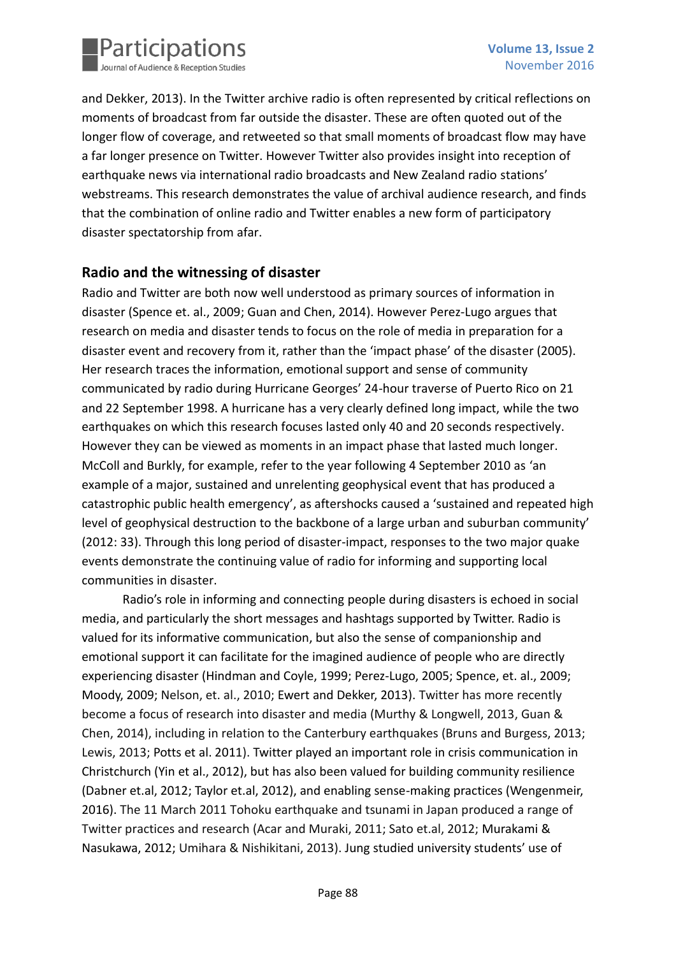

and Dekker, 2013). In the Twitter archive radio is often represented by critical reflections on moments of broadcast from far outside the disaster. These are often quoted out of the longer flow of coverage, and retweeted so that small moments of broadcast flow may have a far longer presence on Twitter. However Twitter also provides insight into reception of earthquake news via international radio broadcasts and New Zealand radio stations' webstreams. This research demonstrates the value of archival audience research, and finds that the combination of online radio and Twitter enables a new form of participatory disaster spectatorship from afar.

## **Radio and the witnessing of disaster**

Radio and Twitter are both now well understood as primary sources of information in disaster (Spence et. al., 2009; Guan and Chen, 2014). However Perez-Lugo argues that research on media and disaster tends to focus on the role of media in preparation for a disaster event and recovery from it, rather than the 'impact phase' of the disaster (2005). Her research traces the information, emotional support and sense of community communicated by radio during Hurricane Georges' 24-hour traverse of Puerto Rico on 21 and 22 September 1998. A hurricane has a very clearly defined long impact, while the two earthquakes on which this research focuses lasted only 40 and 20 seconds respectively. However they can be viewed as moments in an impact phase that lasted much longer. McColl and Burkly, for example, refer to the year following 4 September 2010 as 'an example of a major, sustained and unrelenting geophysical event that has produced a catastrophic public health emergency', as aftershocks caused a 'sustained and repeated high level of geophysical destruction to the backbone of a large urban and suburban community' (2012: 33). Through this long period of disaster-impact, responses to the two major quake events demonstrate the continuing value of radio for informing and supporting local communities in disaster.

Radio's role in informing and connecting people during disasters is echoed in social media, and particularly the short messages and hashtags supported by Twitter. Radio is valued for its informative communication, but also the sense of companionship and emotional support it can facilitate for the imagined audience of people who are directly experiencing disaster (Hindman and Coyle, 1999; Perez-Lugo, 2005; Spence, et. al., 2009; Moody, 2009; Nelson, et. al., 2010; Ewert and Dekker, 2013). Twitter has more recently become a focus of research into disaster and media (Murthy & Longwell, 2013, Guan & Chen, 2014), including in relation to the Canterbury earthquakes (Bruns and Burgess, 2013; Lewis, 2013; Potts et al. 2011). Twitter played an important role in crisis communication in Christchurch (Yin et al., 2012), but has also been valued for building community resilience (Dabner et.al, 2012; Taylor et.al, 2012), and enabling sense-making practices (Wengenmeir, 2016). The 11 March 2011 Tohoku earthquake and tsunami in Japan produced a range of Twitter practices and research (Acar and Muraki, 2011; Sato et.al, 2012; Murakami & Nasukawa, 2012; Umihara & Nishikitani, 2013). Jung studied university students' use of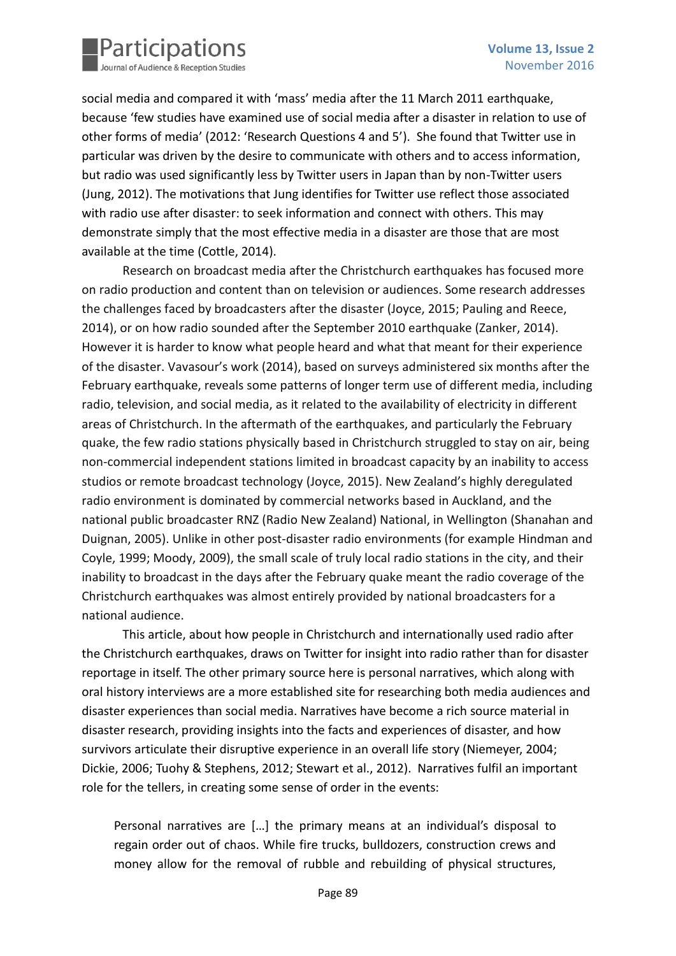

social media and compared it with 'mass' media after the 11 March 2011 earthquake, because 'few studies have examined use of social media after a disaster in relation to use of other forms of media' (2012: 'Research Questions 4 and 5'). She found that Twitter use in particular was driven by the desire to communicate with others and to access information, but radio was used significantly less by Twitter users in Japan than by non-Twitter users (Jung, 2012). The motivations that Jung identifies for Twitter use reflect those associated with radio use after disaster: to seek information and connect with others. This may demonstrate simply that the most effective media in a disaster are those that are most available at the time (Cottle, 2014).

Research on broadcast media after the Christchurch earthquakes has focused more on radio production and content than on television or audiences. Some research addresses the challenges faced by broadcasters after the disaster (Joyce, 2015; Pauling and Reece, 2014), or on how radio sounded after the September 2010 earthquake (Zanker, 2014). However it is harder to know what people heard and what that meant for their experience of the disaster. Vavasour's work (2014), based on surveys administered six months after the February earthquake, reveals some patterns of longer term use of different media, including radio, television, and social media, as it related to the availability of electricity in different areas of Christchurch. In the aftermath of the earthquakes, and particularly the February quake, the few radio stations physically based in Christchurch struggled to stay on air, being non-commercial independent stations limited in broadcast capacity by an inability to access studios or remote broadcast technology (Joyce, 2015). New Zealand's highly deregulated radio environment is dominated by commercial networks based in Auckland, and the national public broadcaster RNZ (Radio New Zealand) National, in Wellington (Shanahan and Duignan, 2005). Unlike in other post-disaster radio environments (for example Hindman and Coyle, 1999; Moody, 2009), the small scale of truly local radio stations in the city, and their inability to broadcast in the days after the February quake meant the radio coverage of the Christchurch earthquakes was almost entirely provided by national broadcasters for a national audience.

This article, about how people in Christchurch and internationally used radio after the Christchurch earthquakes, draws on Twitter for insight into radio rather than for disaster reportage in itself. The other primary source here is personal narratives, which along with oral history interviews are a more established site for researching both media audiences and disaster experiences than social media. Narratives have become a rich source material in disaster research, providing insights into the facts and experiences of disaster, and how survivors articulate their disruptive experience in an overall life story (Niemeyer, 2004; Dickie, 2006; Tuohy & Stephens, 2012; Stewart et al., 2012). Narratives fulfil an important role for the tellers, in creating some sense of order in the events:

Personal narratives are […] the primary means at an individual's disposal to regain order out of chaos. While fire trucks, bulldozers, construction crews and money allow for the removal of rubble and rebuilding of physical structures,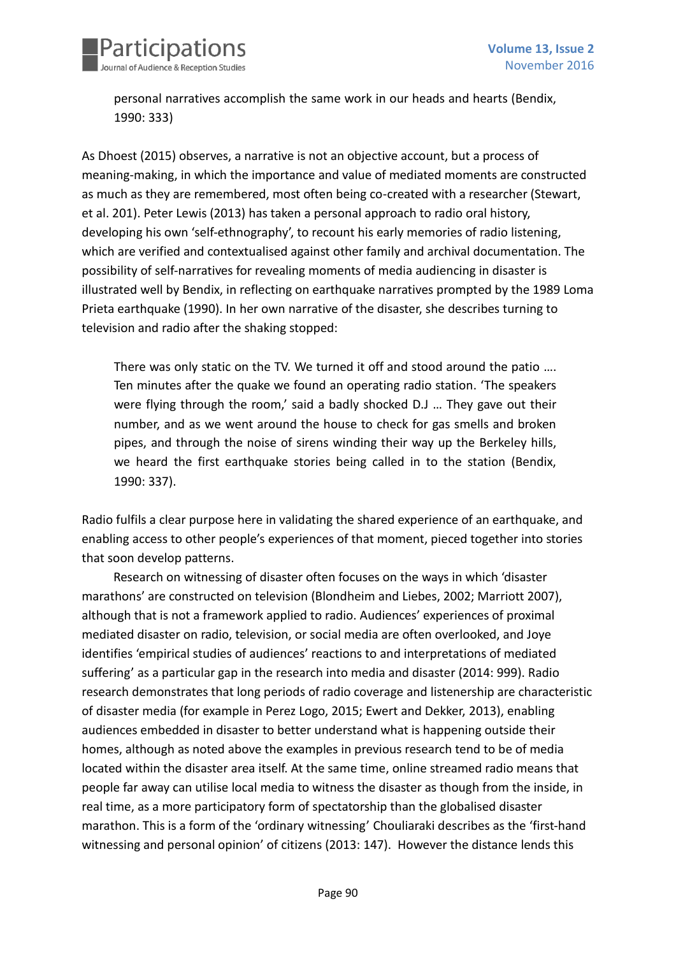

personal narratives accomplish the same work in our heads and hearts (Bendix, 1990: 333)

As Dhoest (2015) observes, a narrative is not an objective account, but a process of meaning-making, in which the importance and value of mediated moments are constructed as much as they are remembered, most often being co-created with a researcher (Stewart, et al. 201). Peter Lewis (2013) has taken a personal approach to radio oral history, developing his own 'self-ethnography', to recount his early memories of radio listening, which are verified and contextualised against other family and archival documentation. The possibility of self-narratives for revealing moments of media audiencing in disaster is illustrated well by Bendix, in reflecting on earthquake narratives prompted by the 1989 Loma Prieta earthquake (1990). In her own narrative of the disaster, she describes turning to television and radio after the shaking stopped:

There was only static on the TV. We turned it off and stood around the patio …. Ten minutes after the quake we found an operating radio station. 'The speakers were flying through the room,' said a badly shocked D.J ... They gave out their number, and as we went around the house to check for gas smells and broken pipes, and through the noise of sirens winding their way up the Berkeley hills, we heard the first earthquake stories being called in to the station (Bendix, 1990: 337).

Radio fulfils a clear purpose here in validating the shared experience of an earthquake, and enabling access to other people's experiences of that moment, pieced together into stories that soon develop patterns.

Research on witnessing of disaster often focuses on the ways in which 'disaster marathons' are constructed on television (Blondheim and Liebes, 2002; Marriott 2007), although that is not a framework applied to radio. Audiences' experiences of proximal mediated disaster on radio, television, or social media are often overlooked, and Joye identifies 'empirical studies of audiences' reactions to and interpretations of mediated suffering' as a particular gap in the research into media and disaster (2014: 999). Radio research demonstrates that long periods of radio coverage and listenership are characteristic of disaster media (for example in Perez Logo, 2015; Ewert and Dekker, 2013), enabling audiences embedded in disaster to better understand what is happening outside their homes, although as noted above the examples in previous research tend to be of media located within the disaster area itself. At the same time, online streamed radio means that people far away can utilise local media to witness the disaster as though from the inside, in real time, as a more participatory form of spectatorship than the globalised disaster marathon. This is a form of the 'ordinary witnessing' Chouliaraki describes as the 'first-hand witnessing and personal opinion' of citizens (2013: 147). However the distance lends this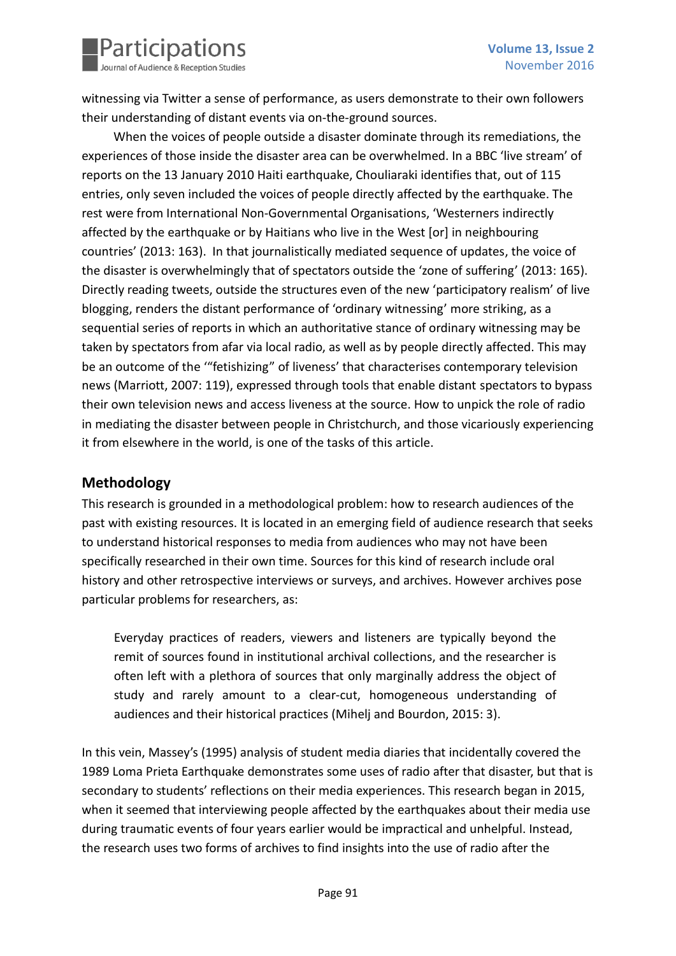

witnessing via Twitter a sense of performance, as users demonstrate to their own followers their understanding of distant events via on-the-ground sources.

When the voices of people outside a disaster dominate through its remediations, the experiences of those inside the disaster area can be overwhelmed. In a BBC 'live stream' of reports on the 13 January 2010 Haiti earthquake, Chouliaraki identifies that, out of 115 entries, only seven included the voices of people directly affected by the earthquake. The rest were from International Non-Governmental Organisations, 'Westerners indirectly affected by the earthquake or by Haitians who live in the West [or] in neighbouring countries' (2013: 163). In that journalistically mediated sequence of updates, the voice of the disaster is overwhelmingly that of spectators outside the 'zone of suffering' (2013: 165). Directly reading tweets, outside the structures even of the new 'participatory realism' of live blogging, renders the distant performance of 'ordinary witnessing' more striking, as a sequential series of reports in which an authoritative stance of ordinary witnessing may be taken by spectators from afar via local radio, as well as by people directly affected. This may be an outcome of the '"fetishizing" of liveness' that characterises contemporary television news (Marriott, 2007: 119), expressed through tools that enable distant spectators to bypass their own television news and access liveness at the source. How to unpick the role of radio in mediating the disaster between people in Christchurch, and those vicariously experiencing it from elsewhere in the world, is one of the tasks of this article.

## **Methodology**

This research is grounded in a methodological problem: how to research audiences of the past with existing resources. It is located in an emerging field of audience research that seeks to understand historical responses to media from audiences who may not have been specifically researched in their own time. Sources for this kind of research include oral history and other retrospective interviews or surveys, and archives. However archives pose particular problems for researchers, as:

Everyday practices of readers, viewers and listeners are typically beyond the remit of sources found in institutional archival collections, and the researcher is often left with a plethora of sources that only marginally address the object of study and rarely amount to a clear-cut, homogeneous understanding of audiences and their historical practices (Mihelj and Bourdon, 2015: 3).

In this vein, Massey's (1995) analysis of student media diaries that incidentally covered the 1989 Loma Prieta Earthquake demonstrates some uses of radio after that disaster, but that is secondary to students' reflections on their media experiences. This research began in 2015, when it seemed that interviewing people affected by the earthquakes about their media use during traumatic events of four years earlier would be impractical and unhelpful. Instead, the research uses two forms of archives to find insights into the use of radio after the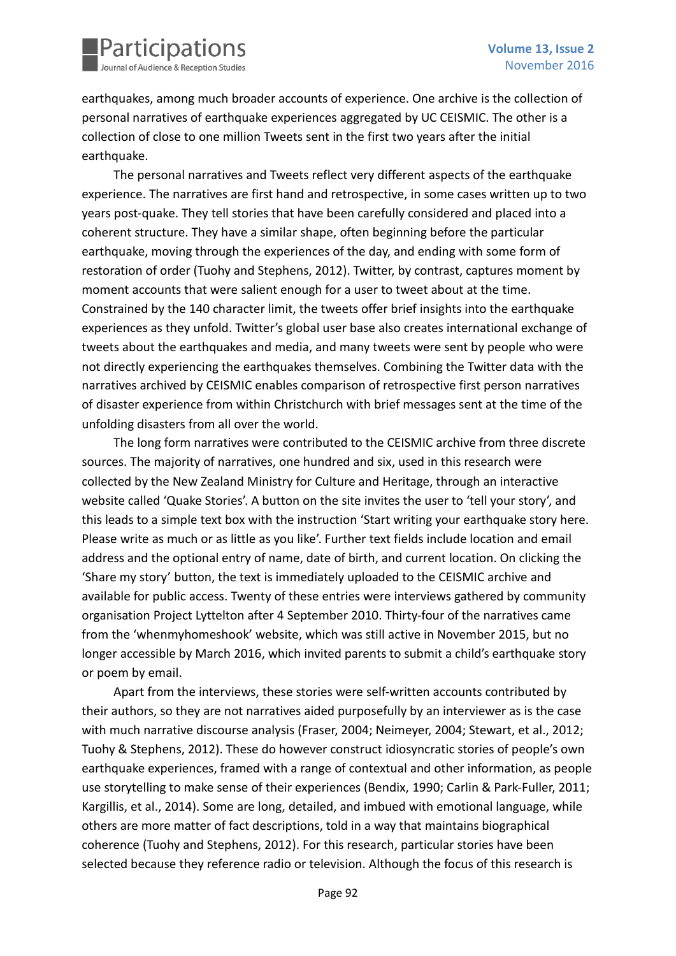

earthquakes, among much broader accounts of experience. One archive is the collection of personal narratives of earthquake experiences aggregated by UC CEISMIC. The other is a collection of close to one million Tweets sent in the first two years after the initial earthquake.

The personal narratives and Tweets reflect very different aspects of the earthquake experience. The narratives are first hand and retrospective, in some cases written up to two years post-quake. They tell stories that have been carefully considered and placed into a coherent structure. They have a similar shape, often beginning before the particular earthquake, moving through the experiences of the day, and ending with some form of restoration of order (Tuohy and Stephens, 2012). Twitter, by contrast, captures moment by moment accounts that were salient enough for a user to tweet about at the time. Constrained by the 140 character limit, the tweets offer brief insights into the earthquake experiences as they unfold. Twitter's global user base also creates international exchange of tweets about the earthquakes and media, and many tweets were sent by people who were not directly experiencing the earthquakes themselves. Combining the Twitter data with the narratives archived by CEISMIC enables comparison of retrospective first person narratives of disaster experience from within Christchurch with brief messages sent at the time of the unfolding disasters from all over the world.

The long form narratives were contributed to the CEISMIC archive from three discrete sources. The majority of narratives, one hundred and six, used in this research were collected by the New Zealand Ministry for Culture and Heritage, through an interactive website called 'Quake Stories'. A button on the site invites the user to 'tell your story', and this leads to a simple text box with the instruction 'Start writing your earthquake story here. Please write as much or as little as you like'. Further text fields include location and email address and the optional entry of name, date of birth, and current location. On clicking the 'Share my story' button, the text is immediately uploaded to the CEISMIC archive and available for public access. Twenty of these entries were interviews gathered by community organisation Project Lyttelton after 4 September 2010. Thirty-four of the narratives came from the 'whenmyhomeshook' website, which was still active in November 2015, but no longer accessible by March 2016, which invited parents to submit a child's earthquake story or poem by email.

Apart from the interviews, these stories were self-written accounts contributed by their authors, so they are not narratives aided purposefully by an interviewer as is the case with much narrative discourse analysis (Fraser, 2004; Neimeyer, 2004; Stewart, et al., 2012; Tuohy & Stephens, 2012). These do however construct idiosyncratic stories of people's own earthquake experiences, framed with a range of contextual and other information, as people use storytelling to make sense of their experiences (Bendix, 1990; Carlin & Park-Fuller, 2011; Kargillis, et al., 2014). Some are long, detailed, and imbued with emotional language, while others are more matter of fact descriptions, told in a way that maintains biographical coherence (Tuohy and Stephens, 2012). For this research, particular stories have been selected because they reference radio or television. Although the focus of this research is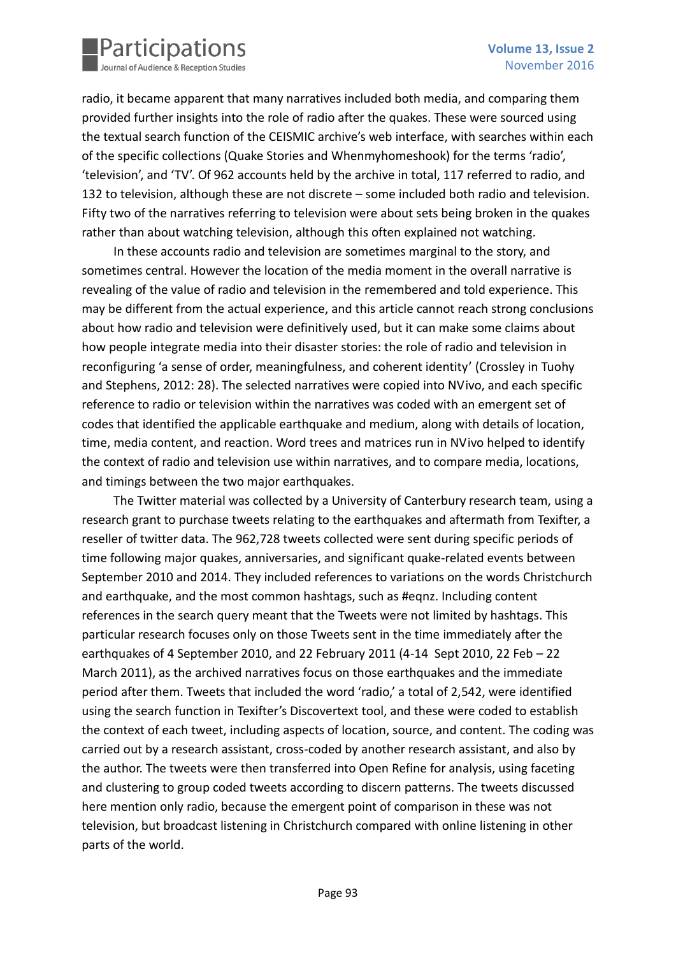

radio, it became apparent that many narratives included both media, and comparing them provided further insights into the role of radio after the quakes. These were sourced using the textual search function of the CEISMIC archive's web interface, with searches within each of the specific collections (Quake Stories and Whenmyhomeshook) for the terms 'radio', 'television', and 'TV'. Of 962 accounts held by the archive in total, 117 referred to radio, and 132 to television, although these are not discrete – some included both radio and television. Fifty two of the narratives referring to television were about sets being broken in the quakes rather than about watching television, although this often explained not watching.

In these accounts radio and television are sometimes marginal to the story, and sometimes central. However the location of the media moment in the overall narrative is revealing of the value of radio and television in the remembered and told experience. This may be different from the actual experience, and this article cannot reach strong conclusions about how radio and television were definitively used, but it can make some claims about how people integrate media into their disaster stories: the role of radio and television in reconfiguring 'a sense of order, meaningfulness, and coherent identity' (Crossley in Tuohy and Stephens, 2012: 28). The selected narratives were copied into NVivo, and each specific reference to radio or television within the narratives was coded with an emergent set of codes that identified the applicable earthquake and medium, along with details of location, time, media content, and reaction. Word trees and matrices run in NVivo helped to identify the context of radio and television use within narratives, and to compare media, locations, and timings between the two major earthquakes.

The Twitter material was collected by a University of Canterbury research team, using a research grant to purchase tweets relating to the earthquakes and aftermath from Texifter, a reseller of twitter data. The 962,728 tweets collected were sent during specific periods of time following major quakes, anniversaries, and significant quake-related events between September 2010 and 2014. They included references to variations on the words Christchurch and earthquake, and the most common hashtags, such as #eqnz. Including content references in the search query meant that the Tweets were not limited by hashtags. This particular research focuses only on those Tweets sent in the time immediately after the earthquakes of 4 September 2010, and 22 February 2011 (4-14 Sept 2010, 22 Feb – 22 March 2011), as the archived narratives focus on those earthquakes and the immediate period after them. Tweets that included the word 'radio,' a total of 2,542, were identified using the search function in Texifter's Discovertext tool, and these were coded to establish the context of each tweet, including aspects of location, source, and content. The coding was carried out by a research assistant, cross-coded by another research assistant, and also by the author. The tweets were then transferred into Open Refine for analysis, using faceting and clustering to group coded tweets according to discern patterns. The tweets discussed here mention only radio, because the emergent point of comparison in these was not television, but broadcast listening in Christchurch compared with online listening in other parts of the world.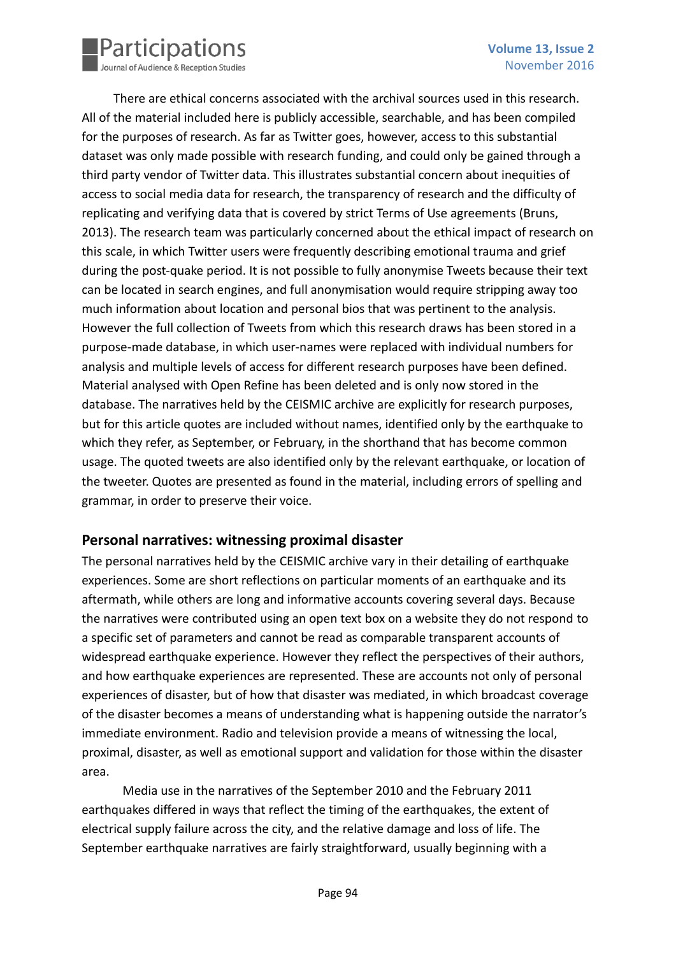

There are ethical concerns associated with the archival sources used in this research. All of the material included here is publicly accessible, searchable, and has been compiled for the purposes of research. As far as Twitter goes, however, access to this substantial dataset was only made possible with research funding, and could only be gained through a third party vendor of Twitter data. This illustrates substantial concern about inequities of access to social media data for research, the transparency of research and the difficulty of replicating and verifying data that is covered by strict Terms of Use agreements (Bruns, 2013). The research team was particularly concerned about the ethical impact of research on this scale, in which Twitter users were frequently describing emotional trauma and grief during the post-quake period. It is not possible to fully anonymise Tweets because their text can be located in search engines, and full anonymisation would require stripping away too much information about location and personal bios that was pertinent to the analysis. However the full collection of Tweets from which this research draws has been stored in a purpose-made database, in which user-names were replaced with individual numbers for analysis and multiple levels of access for different research purposes have been defined. Material analysed with Open Refine has been deleted and is only now stored in the database. The narratives held by the CEISMIC archive are explicitly for research purposes, but for this article quotes are included without names, identified only by the earthquake to which they refer, as September, or February, in the shorthand that has become common usage. The quoted tweets are also identified only by the relevant earthquake, or location of the tweeter. Quotes are presented as found in the material, including errors of spelling and grammar, in order to preserve their voice.

#### **Personal narratives: witnessing proximal disaster**

The personal narratives held by the CEISMIC archive vary in their detailing of earthquake experiences. Some are short reflections on particular moments of an earthquake and its aftermath, while others are long and informative accounts covering several days. Because the narratives were contributed using an open text box on a website they do not respond to a specific set of parameters and cannot be read as comparable transparent accounts of widespread earthquake experience. However they reflect the perspectives of their authors, and how earthquake experiences are represented. These are accounts not only of personal experiences of disaster, but of how that disaster was mediated, in which broadcast coverage of the disaster becomes a means of understanding what is happening outside the narrator's immediate environment. Radio and television provide a means of witnessing the local, proximal, disaster, as well as emotional support and validation for those within the disaster area.

Media use in the narratives of the September 2010 and the February 2011 earthquakes differed in ways that reflect the timing of the earthquakes, the extent of electrical supply failure across the city, and the relative damage and loss of life. The September earthquake narratives are fairly straightforward, usually beginning with a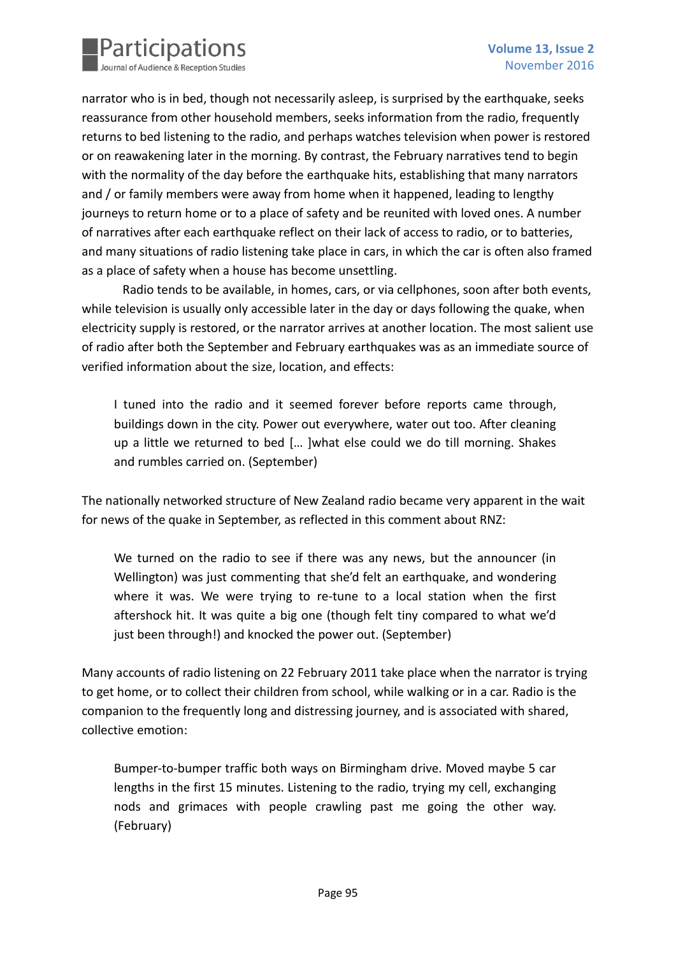

narrator who is in bed, though not necessarily asleep, is surprised by the earthquake, seeks reassurance from other household members, seeks information from the radio, frequently returns to bed listening to the radio, and perhaps watches television when power is restored or on reawakening later in the morning. By contrast, the February narratives tend to begin with the normality of the day before the earthquake hits, establishing that many narrators and / or family members were away from home when it happened, leading to lengthy journeys to return home or to a place of safety and be reunited with loved ones. A number of narratives after each earthquake reflect on their lack of access to radio, or to batteries, and many situations of radio listening take place in cars, in which the car is often also framed as a place of safety when a house has become unsettling.

Radio tends to be available, in homes, cars, or via cellphones, soon after both events, while television is usually only accessible later in the day or days following the quake, when electricity supply is restored, or the narrator arrives at another location. The most salient use of radio after both the September and February earthquakes was as an immediate source of verified information about the size, location, and effects:

I tuned into the radio and it seemed forever before reports came through, buildings down in the city. Power out everywhere, water out too. After cleaning up a little we returned to bed [… ]what else could we do till morning. Shakes and rumbles carried on. (September)

The nationally networked structure of New Zealand radio became very apparent in the wait for news of the quake in September, as reflected in this comment about RNZ:

We turned on the radio to see if there was any news, but the announcer (in Wellington) was just commenting that she'd felt an earthquake, and wondering where it was. We were trying to re-tune to a local station when the first aftershock hit. It was quite a big one (though felt tiny compared to what we'd just been through!) and knocked the power out. (September)

Many accounts of radio listening on 22 February 2011 take place when the narrator is trying to get home, or to collect their children from school, while walking or in a car. Radio is the companion to the frequently long and distressing journey, and is associated with shared, collective emotion:

Bumper-to-bumper traffic both ways on Birmingham drive. Moved maybe 5 car lengths in the first 15 minutes. Listening to the radio, trying my cell, exchanging nods and grimaces with people crawling past me going the other way. (February)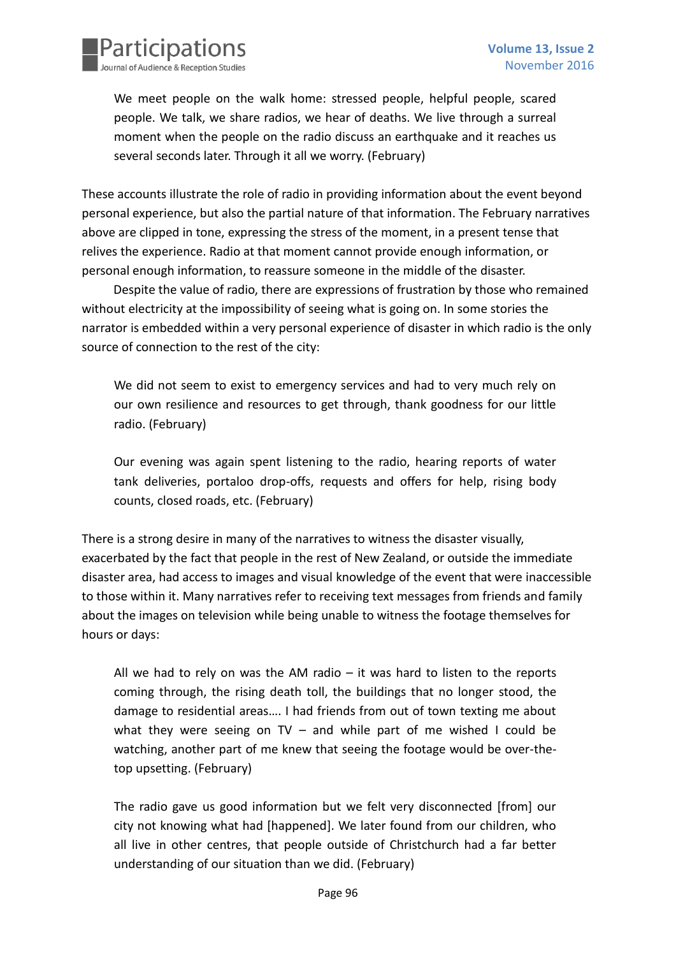

We meet people on the walk home: stressed people, helpful people, scared people. We talk, we share radios, we hear of deaths. We live through a surreal moment when the people on the radio discuss an earthquake and it reaches us several seconds later. Through it all we worry. (February)

These accounts illustrate the role of radio in providing information about the event beyond personal experience, but also the partial nature of that information. The February narratives above are clipped in tone, expressing the stress of the moment, in a present tense that relives the experience. Radio at that moment cannot provide enough information, or personal enough information, to reassure someone in the middle of the disaster.

Despite the value of radio, there are expressions of frustration by those who remained without electricity at the impossibility of seeing what is going on. In some stories the narrator is embedded within a very personal experience of disaster in which radio is the only source of connection to the rest of the city:

We did not seem to exist to emergency services and had to very much rely on our own resilience and resources to get through, thank goodness for our little radio. (February)

Our evening was again spent listening to the radio, hearing reports of water tank deliveries, portaloo drop-offs, requests and offers for help, rising body counts, closed roads, etc. (February)

There is a strong desire in many of the narratives to witness the disaster visually, exacerbated by the fact that people in the rest of New Zealand, or outside the immediate disaster area, had access to images and visual knowledge of the event that were inaccessible to those within it. Many narratives refer to receiving text messages from friends and family about the images on television while being unable to witness the footage themselves for hours or days:

All we had to rely on was the AM radio  $-$  it was hard to listen to the reports coming through, the rising death toll, the buildings that no longer stood, the damage to residential areas…. I had friends from out of town texting me about what they were seeing on  $TV$  – and while part of me wished I could be watching, another part of me knew that seeing the footage would be over-thetop upsetting. (February)

The radio gave us good information but we felt very disconnected [from] our city not knowing what had [happened]. We later found from our children, who all live in other centres, that people outside of Christchurch had a far better understanding of our situation than we did. (February)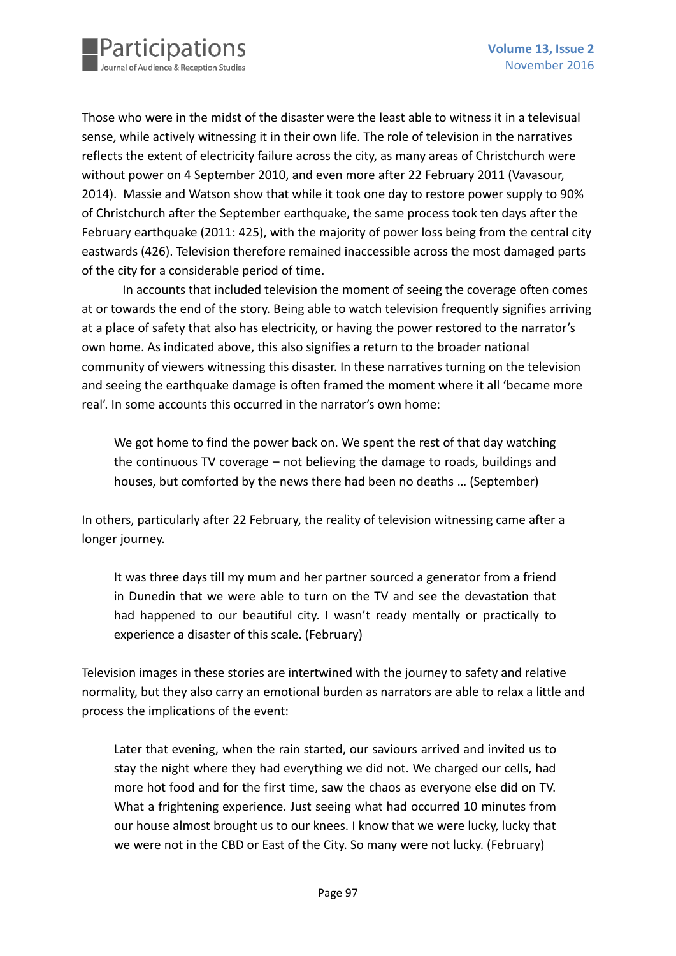Those who were in the midst of the disaster were the least able to witness it in a televisual sense, while actively witnessing it in their own life. The role of television in the narratives reflects the extent of electricity failure across the city, as many areas of Christchurch were without power on 4 September 2010, and even more after 22 February 2011 (Vavasour, 2014). Massie and Watson show that while it took one day to restore power supply to 90% of Christchurch after the September earthquake, the same process took ten days after the February earthquake (2011: 425), with the majority of power loss being from the central city eastwards (426). Television therefore remained inaccessible across the most damaged parts of the city for a considerable period of time.

In accounts that included television the moment of seeing the coverage often comes at or towards the end of the story. Being able to watch television frequently signifies arriving at a place of safety that also has electricity, or having the power restored to the narrator's own home. As indicated above, this also signifies a return to the broader national community of viewers witnessing this disaster. In these narratives turning on the television and seeing the earthquake damage is often framed the moment where it all 'became more real'. In some accounts this occurred in the narrator's own home:

We got home to find the power back on. We spent the rest of that day watching the continuous TV coverage – not believing the damage to roads, buildings and houses, but comforted by the news there had been no deaths … (September)

In others, particularly after 22 February, the reality of television witnessing came after a longer journey.

It was three days till my mum and her partner sourced a generator from a friend in Dunedin that we were able to turn on the TV and see the devastation that had happened to our beautiful city. I wasn't ready mentally or practically to experience a disaster of this scale. (February)

Television images in these stories are intertwined with the journey to safety and relative normality, but they also carry an emotional burden as narrators are able to relax a little and process the implications of the event:

Later that evening, when the rain started, our saviours arrived and invited us to stay the night where they had everything we did not. We charged our cells, had more hot food and for the first time, saw the chaos as everyone else did on TV. What a frightening experience. Just seeing what had occurred 10 minutes from our house almost brought us to our knees. I know that we were lucky, lucky that we were not in the CBD or East of the City. So many were not lucky. (February)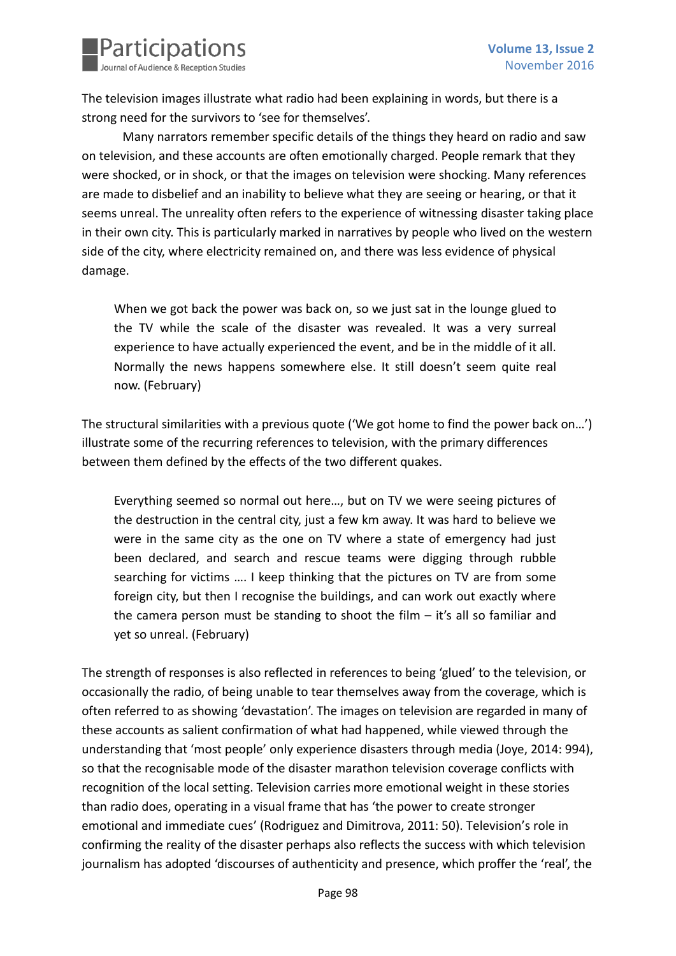

The television images illustrate what radio had been explaining in words, but there is a strong need for the survivors to 'see for themselves'.

Many narrators remember specific details of the things they heard on radio and saw on television, and these accounts are often emotionally charged. People remark that they were shocked, or in shock, or that the images on television were shocking. Many references are made to disbelief and an inability to believe what they are seeing or hearing, or that it seems unreal. The unreality often refers to the experience of witnessing disaster taking place in their own city. This is particularly marked in narratives by people who lived on the western side of the city, where electricity remained on, and there was less evidence of physical damage.

When we got back the power was back on, so we just sat in the lounge glued to the TV while the scale of the disaster was revealed. It was a very surreal experience to have actually experienced the event, and be in the middle of it all. Normally the news happens somewhere else. It still doesn't seem quite real now. (February)

The structural similarities with a previous quote ('We got home to find the power back on…') illustrate some of the recurring references to television, with the primary differences between them defined by the effects of the two different quakes.

Everything seemed so normal out here…, but on TV we were seeing pictures of the destruction in the central city, just a few km away. It was hard to believe we were in the same city as the one on TV where a state of emergency had just been declared, and search and rescue teams were digging through rubble searching for victims …. I keep thinking that the pictures on TV are from some foreign city, but then I recognise the buildings, and can work out exactly where the camera person must be standing to shoot the film – it's all so familiar and yet so unreal. (February)

The strength of responses is also reflected in references to being 'glued' to the television, or occasionally the radio, of being unable to tear themselves away from the coverage, which is often referred to as showing 'devastation'. The images on television are regarded in many of these accounts as salient confirmation of what had happened, while viewed through the understanding that 'most people' only experience disasters through media (Joye, 2014: 994), so that the recognisable mode of the disaster marathon television coverage conflicts with recognition of the local setting. Television carries more emotional weight in these stories than radio does, operating in a visual frame that has 'the power to create stronger emotional and immediate cues' (Rodriguez and Dimitrova, 2011: 50). Television's role in confirming the reality of the disaster perhaps also reflects the success with which television journalism has adopted 'discourses of authenticity and presence, which proffer the 'real', the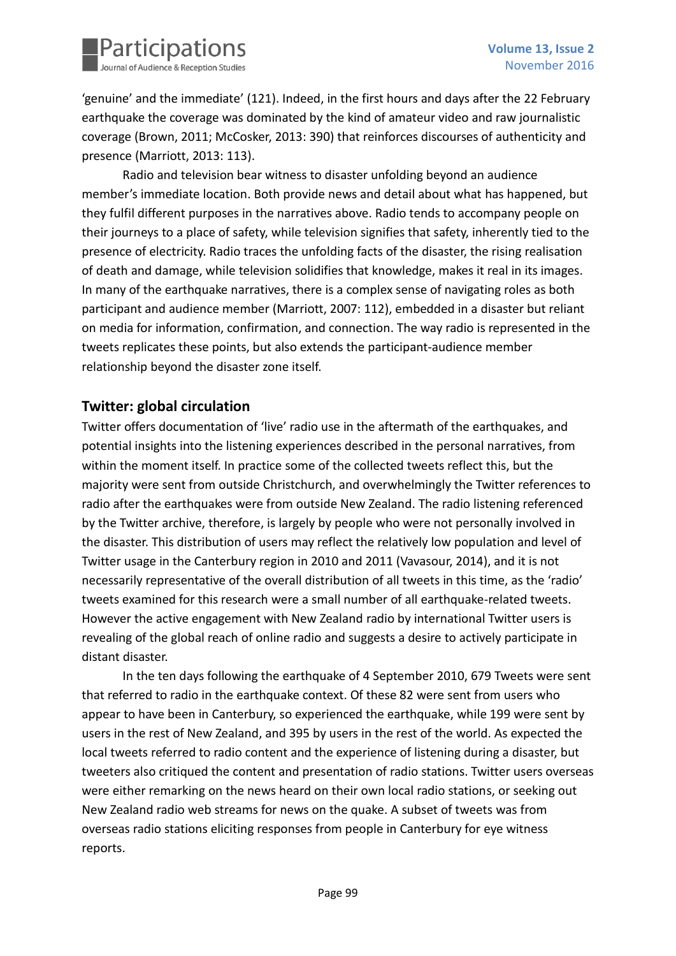

'genuine' and the immediate' (121). Indeed, in the first hours and days after the 22 February earthquake the coverage was dominated by the kind of amateur video and raw journalistic coverage (Brown, 2011; McCosker, 2013: 390) that reinforces discourses of authenticity and presence (Marriott, 2013: 113).

Radio and television bear witness to disaster unfolding beyond an audience member's immediate location. Both provide news and detail about what has happened, but they fulfil different purposes in the narratives above. Radio tends to accompany people on their journeys to a place of safety, while television signifies that safety, inherently tied to the presence of electricity. Radio traces the unfolding facts of the disaster, the rising realisation of death and damage, while television solidifies that knowledge, makes it real in its images. In many of the earthquake narratives, there is a complex sense of navigating roles as both participant and audience member (Marriott, 2007: 112), embedded in a disaster but reliant on media for information, confirmation, and connection. The way radio is represented in the tweets replicates these points, but also extends the participant-audience member relationship beyond the disaster zone itself.

### **Twitter: global circulation**

Twitter offers documentation of 'live' radio use in the aftermath of the earthquakes, and potential insights into the listening experiences described in the personal narratives, from within the moment itself. In practice some of the collected tweets reflect this, but the majority were sent from outside Christchurch, and overwhelmingly the Twitter references to radio after the earthquakes were from outside New Zealand. The radio listening referenced by the Twitter archive, therefore, is largely by people who were not personally involved in the disaster. This distribution of users may reflect the relatively low population and level of Twitter usage in the Canterbury region in 2010 and 2011 (Vavasour, 2014), and it is not necessarily representative of the overall distribution of all tweets in this time, as the 'radio' tweets examined for this research were a small number of all earthquake-related tweets. However the active engagement with New Zealand radio by international Twitter users is revealing of the global reach of online radio and suggests a desire to actively participate in distant disaster.

In the ten days following the earthquake of 4 September 2010, 679 Tweets were sent that referred to radio in the earthquake context. Of these 82 were sent from users who appear to have been in Canterbury, so experienced the earthquake, while 199 were sent by users in the rest of New Zealand, and 395 by users in the rest of the world. As expected the local tweets referred to radio content and the experience of listening during a disaster, but tweeters also critiqued the content and presentation of radio stations. Twitter users overseas were either remarking on the news heard on their own local radio stations, or seeking out New Zealand radio web streams for news on the quake. A subset of tweets was from overseas radio stations eliciting responses from people in Canterbury for eye witness reports.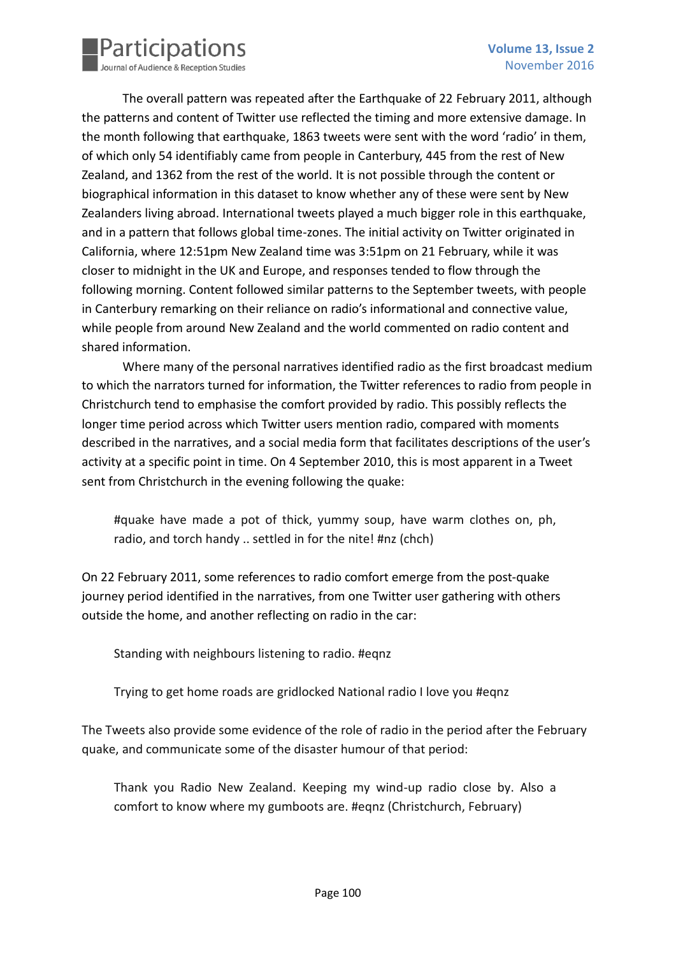

The overall pattern was repeated after the Earthquake of 22 February 2011, although the patterns and content of Twitter use reflected the timing and more extensive damage. In the month following that earthquake, 1863 tweets were sent with the word 'radio' in them, of which only 54 identifiably came from people in Canterbury, 445 from the rest of New Zealand, and 1362 from the rest of the world. It is not possible through the content or biographical information in this dataset to know whether any of these were sent by New Zealanders living abroad. International tweets played a much bigger role in this earthquake, and in a pattern that follows global time-zones. The initial activity on Twitter originated in California, where 12:51pm New Zealand time was 3:51pm on 21 February, while it was closer to midnight in the UK and Europe, and responses tended to flow through the following morning. Content followed similar patterns to the September tweets, with people in Canterbury remarking on their reliance on radio's informational and connective value, while people from around New Zealand and the world commented on radio content and shared information.

Where many of the personal narratives identified radio as the first broadcast medium to which the narrators turned for information, the Twitter references to radio from people in Christchurch tend to emphasise the comfort provided by radio. This possibly reflects the longer time period across which Twitter users mention radio, compared with moments described in the narratives, and a social media form that facilitates descriptions of the user's activity at a specific point in time. On 4 September 2010, this is most apparent in a Tweet sent from Christchurch in the evening following the quake:

#quake have made a pot of thick, yummy soup, have warm clothes on, ph, radio, and torch handy .. settled in for the nite! #nz (chch)

On 22 February 2011, some references to radio comfort emerge from the post-quake journey period identified in the narratives, from one Twitter user gathering with others outside the home, and another reflecting on radio in the car:

Standing with neighbours listening to radio. #eqnz

Trying to get home roads are gridlocked National radio I love you #eqnz

The Tweets also provide some evidence of the role of radio in the period after the February quake, and communicate some of the disaster humour of that period:

Thank you Radio New Zealand. Keeping my wind-up radio close by. Also a comfort to know where my gumboots are. #eqnz (Christchurch, February)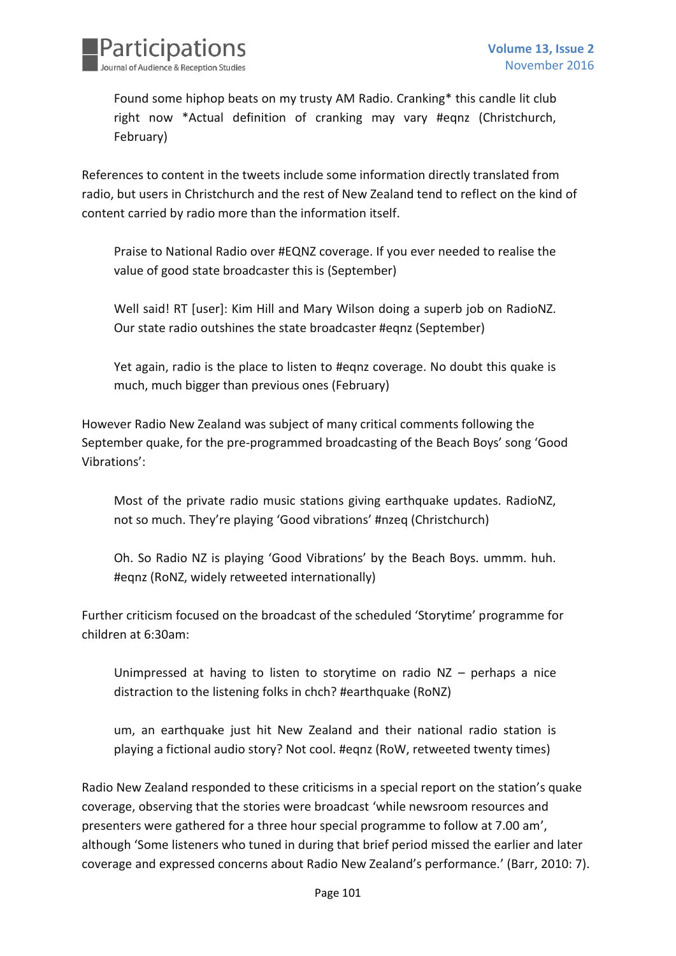

Found some hiphop beats on my trusty AM Radio. Cranking\* this candle lit club right now \*Actual definition of cranking may vary #eqnz (Christchurch, February)

References to content in the tweets include some information directly translated from radio, but users in Christchurch and the rest of New Zealand tend to reflect on the kind of content carried by radio more than the information itself.

Praise to National Radio over #EQNZ coverage. If you ever needed to realise the value of good state broadcaster this is (September)

Well said! RT [user]: Kim Hill and Mary Wilson doing a superb job on RadioNZ. Our state radio outshines the state broadcaster #eqnz (September)

Yet again, radio is the place to listen to #eqnz coverage. No doubt this quake is much, much bigger than previous ones (February)

However Radio New Zealand was subject of many critical comments following the September quake, for the pre-programmed broadcasting of the Beach Boys' song 'Good Vibrations':

Most of the private radio music stations giving earthquake updates. RadioNZ, not so much. They're playing 'Good vibrations' #nzeq (Christchurch)

Oh. So Radio NZ is playing 'Good Vibrations' by the Beach Boys. ummm. huh. #eqnz (RoNZ, widely retweeted internationally)

Further criticism focused on the broadcast of the scheduled 'Storytime' programme for children at 6:30am:

Unimpressed at having to listen to storytime on radio  $NZ$  – perhaps a nice distraction to the listening folks in chch? #earthquake (RoNZ)

um, an earthquake just hit New Zealand and their national radio station is playing a fictional audio story? Not cool. #eqnz (RoW, retweeted twenty times)

Radio New Zealand responded to these criticisms in a special report on the station's quake coverage, observing that the stories were broadcast 'while newsroom resources and presenters were gathered for a three hour special programme to follow at 7.00 am', although 'Some listeners who tuned in during that brief period missed the earlier and later coverage and expressed concerns about Radio New Zealand's performance.' (Barr, 2010: 7).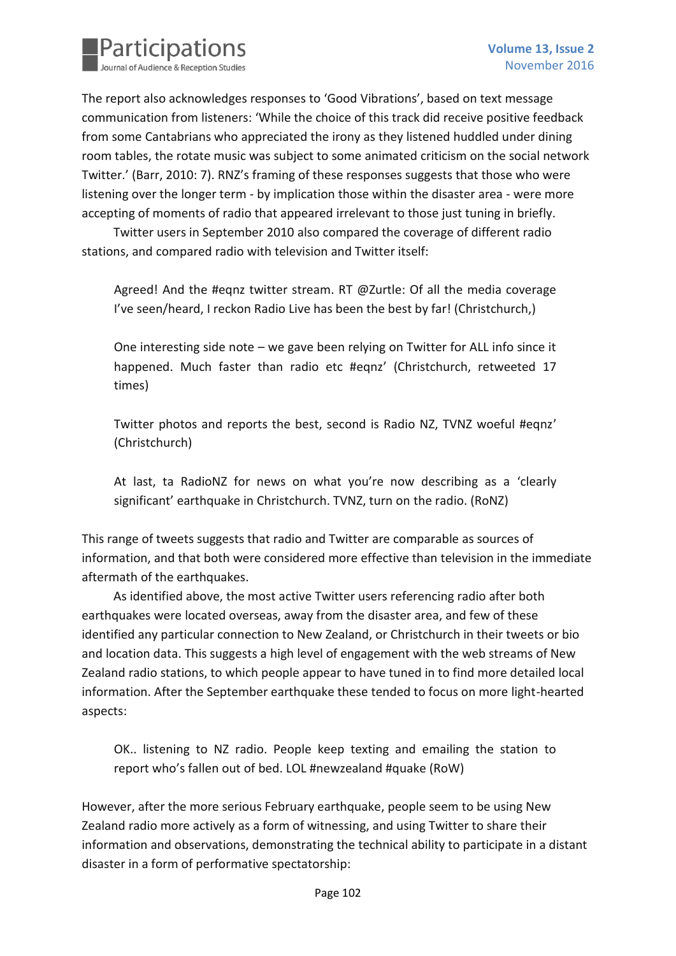

The report also acknowledges responses to 'Good Vibrations', based on text message communication from listeners: 'While the choice of this track did receive positive feedback from some Cantabrians who appreciated the irony as they listened huddled under dining room tables, the rotate music was subject to some animated criticism on the social network Twitter.' (Barr, 2010: 7). RNZ's framing of these responses suggests that those who were listening over the longer term - by implication those within the disaster area - were more accepting of moments of radio that appeared irrelevant to those just tuning in briefly.

Twitter users in September 2010 also compared the coverage of different radio stations, and compared radio with television and Twitter itself:

Agreed! And the #eqnz twitter stream. RT @Zurtle: Of all the media coverage I've seen/heard, I reckon Radio Live has been the best by far! (Christchurch,)

One interesting side note – we gave been relying on Twitter for ALL info since it happened. Much faster than radio etc #eqnz' (Christchurch, retweeted 17 times)

Twitter photos and reports the best, second is Radio NZ, TVNZ woeful #eqnz' (Christchurch)

At last, ta RadioNZ for news on what you're now describing as a 'clearly significant' earthquake in Christchurch. TVNZ, turn on the radio. (RoNZ)

This range of tweets suggests that radio and Twitter are comparable as sources of information, and that both were considered more effective than television in the immediate aftermath of the earthquakes.

As identified above, the most active Twitter users referencing radio after both earthquakes were located overseas, away from the disaster area, and few of these identified any particular connection to New Zealand, or Christchurch in their tweets or bio and location data. This suggests a high level of engagement with the web streams of New Zealand radio stations, to which people appear to have tuned in to find more detailed local information. After the September earthquake these tended to focus on more light-hearted aspects:

OK.. listening to NZ radio. People keep texting and emailing the station to report who's fallen out of bed. LOL #newzealand #quake (RoW)

However, after the more serious February earthquake, people seem to be using New Zealand radio more actively as a form of witnessing, and using Twitter to share their information and observations, demonstrating the technical ability to participate in a distant disaster in a form of performative spectatorship: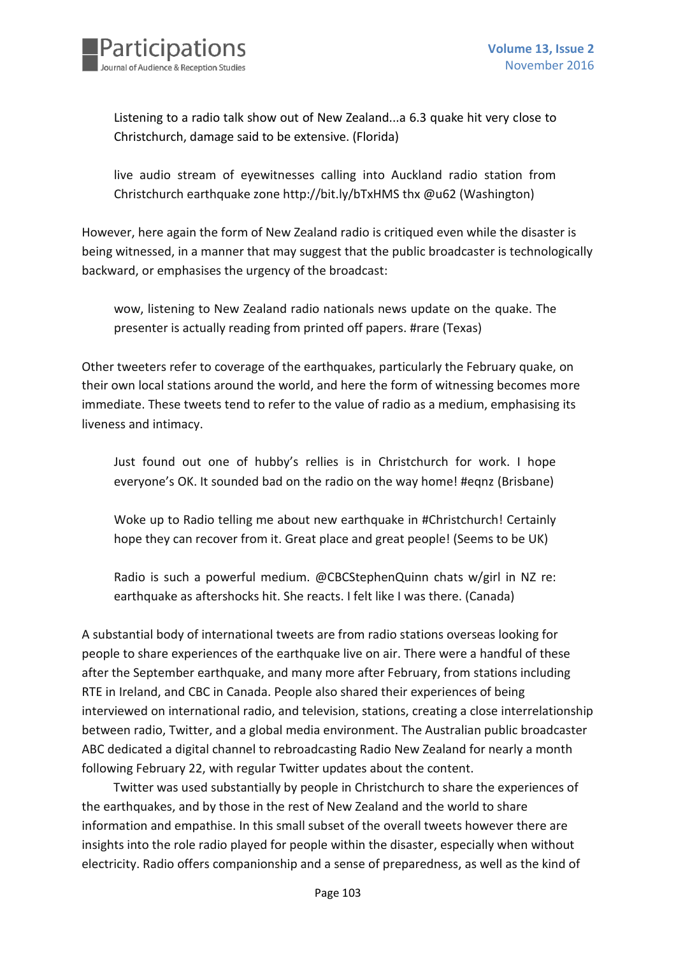

Listening to a radio talk show out of New Zealand...a 6.3 quake hit very close to Christchurch, damage said to be extensive. (Florida)

live audio stream of eyewitnesses calling into Auckland radio station from Christchurch earthquake zone http://bit.ly/bTxHMS thx @u62 (Washington)

However, here again the form of New Zealand radio is critiqued even while the disaster is being witnessed, in a manner that may suggest that the public broadcaster is technologically backward, or emphasises the urgency of the broadcast:

wow, listening to New Zealand radio nationals news update on the quake. The presenter is actually reading from printed off papers. #rare (Texas)

Other tweeters refer to coverage of the earthquakes, particularly the February quake, on their own local stations around the world, and here the form of witnessing becomes more immediate. These tweets tend to refer to the value of radio as a medium, emphasising its liveness and intimacy.

Just found out one of hubby's rellies is in Christchurch for work. I hope everyone's OK. It sounded bad on the radio on the way home! #eqnz (Brisbane)

Woke up to Radio telling me about new earthquake in #Christchurch! Certainly hope they can recover from it. Great place and great people! (Seems to be UK)

Radio is such a powerful medium. @CBCStephenQuinn chats w/girl in NZ re: earthquake as aftershocks hit. She reacts. I felt like I was there. (Canada)

A substantial body of international tweets are from radio stations overseas looking for people to share experiences of the earthquake live on air. There were a handful of these after the September earthquake, and many more after February, from stations including RTE in Ireland, and CBC in Canada. People also shared their experiences of being interviewed on international radio, and television, stations, creating a close interrelationship between radio, Twitter, and a global media environment. The Australian public broadcaster ABC dedicated a digital channel to rebroadcasting Radio New Zealand for nearly a month following February 22, with regular Twitter updates about the content.

Twitter was used substantially by people in Christchurch to share the experiences of the earthquakes, and by those in the rest of New Zealand and the world to share information and empathise. In this small subset of the overall tweets however there are insights into the role radio played for people within the disaster, especially when without electricity. Radio offers companionship and a sense of preparedness, as well as the kind of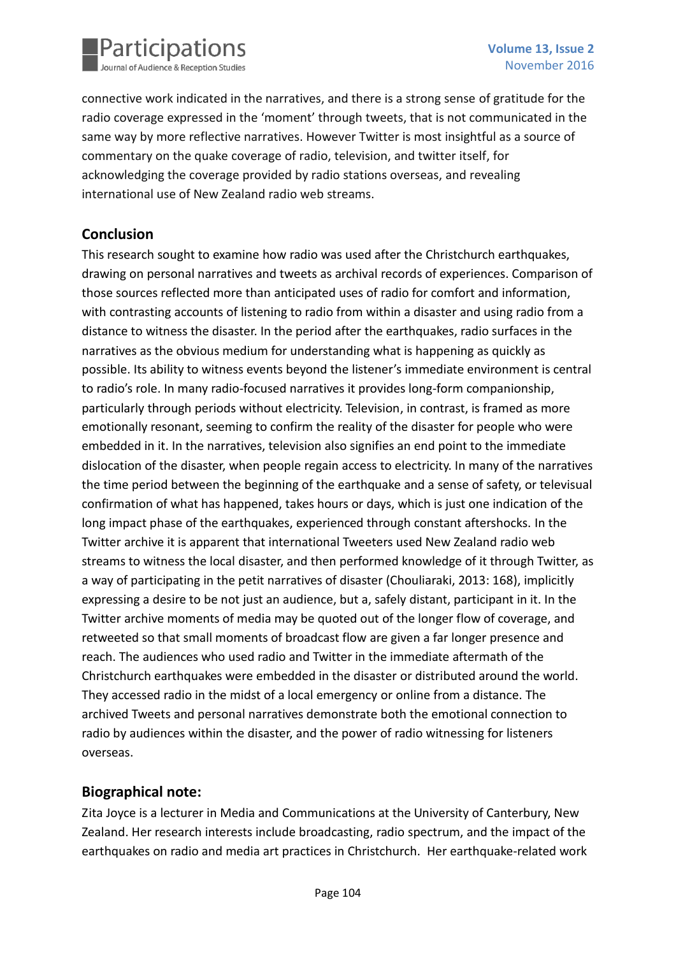

connective work indicated in the narratives, and there is a strong sense of gratitude for the radio coverage expressed in the 'moment' through tweets, that is not communicated in the same way by more reflective narratives. However Twitter is most insightful as a source of commentary on the quake coverage of radio, television, and twitter itself, for acknowledging the coverage provided by radio stations overseas, and revealing international use of New Zealand radio web streams.

## **Conclusion**

This research sought to examine how radio was used after the Christchurch earthquakes, drawing on personal narratives and tweets as archival records of experiences. Comparison of those sources reflected more than anticipated uses of radio for comfort and information, with contrasting accounts of listening to radio from within a disaster and using radio from a distance to witness the disaster. In the period after the earthquakes, radio surfaces in the narratives as the obvious medium for understanding what is happening as quickly as possible. Its ability to witness events beyond the listener's immediate environment is central to radio's role. In many radio-focused narratives it provides long-form companionship, particularly through periods without electricity. Television, in contrast, is framed as more emotionally resonant, seeming to confirm the reality of the disaster for people who were embedded in it. In the narratives, television also signifies an end point to the immediate dislocation of the disaster, when people regain access to electricity. In many of the narratives the time period between the beginning of the earthquake and a sense of safety, or televisual confirmation of what has happened, takes hours or days, which is just one indication of the long impact phase of the earthquakes, experienced through constant aftershocks. In the Twitter archive it is apparent that international Tweeters used New Zealand radio web streams to witness the local disaster, and then performed knowledge of it through Twitter, as a way of participating in the petit narratives of disaster (Chouliaraki, 2013: 168), implicitly expressing a desire to be not just an audience, but a, safely distant, participant in it. In the Twitter archive moments of media may be quoted out of the longer flow of coverage, and retweeted so that small moments of broadcast flow are given a far longer presence and reach. The audiences who used radio and Twitter in the immediate aftermath of the Christchurch earthquakes were embedded in the disaster or distributed around the world. They accessed radio in the midst of a local emergency or online from a distance. The archived Tweets and personal narratives demonstrate both the emotional connection to radio by audiences within the disaster, and the power of radio witnessing for listeners overseas.

## **Biographical note:**

Zita Joyce is a lecturer in Media and Communications at the University of Canterbury, New Zealand. Her research interests include broadcasting, radio spectrum, and the impact of the earthquakes on radio and media art practices in Christchurch. Her earthquake-related work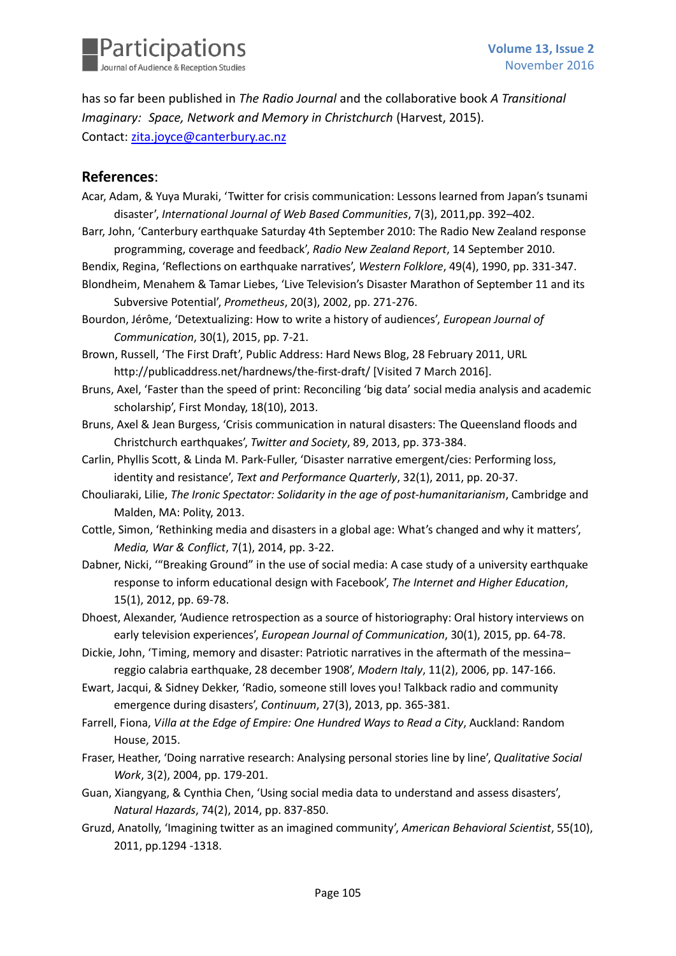

has so far been published in *The Radio Journal* and the collaborative book *A Transitional Imaginary: Space, Network and Memory in Christchurch* (Harvest, 2015). Contact: [zita.joyce@canterbury.ac.nz](mailto:zita.joyce@canterbury.ac.nz)

#### **References**:

- Acar, Adam, & Yuya Muraki, 'Twitter for crisis communication: Lessons learned from Japan's tsunami disaster', *International Journal of Web Based Communities*, 7(3), 2011,pp. 392–402.
- Barr, John, 'Canterbury earthquake Saturday 4th September 2010: The Radio New Zealand response programming, coverage and feedback', *Radio New Zealand Report*, 14 September 2010.
- Bendix, Regina, 'Reflections on earthquake narratives', *Western Folklore*, 49(4), 1990, pp. 331-347.
- Blondheim, Menahem & Tamar Liebes, 'Live Television's Disaster Marathon of September 11 and its Subversive Potential', *Prometheus*, 20(3), 2002, pp. 271-276.
- Bourdon, Jérôme, 'Detextualizing: How to write a history of audiences', *European Journal of Communication*, 30(1), 2015, pp. 7-21.
- Brown, Russell, 'The First Draft', Public Address: Hard News Blog, 28 February 2011, URL http://publicaddress.net/hardnews/the-first-draft/ [Visited 7 March 2016].
- Bruns, Axel, 'Faster than the speed of print: Reconciling 'big data' social media analysis and academic scholarship', First Monday, 18(10), 2013.
- Bruns, Axel & Jean Burgess, 'Crisis communication in natural disasters: The Queensland floods and Christchurch earthquakes', *Twitter and Society*, 89, 2013, pp. 373-384.
- Carlin, Phyllis Scott, & Linda M. Park-Fuller, 'Disaster narrative emergent/cies: Performing loss, identity and resistance', *Text and Performance Quarterly*, 32(1), 2011, pp. 20-37.
- Chouliaraki, Lilie, *The Ironic Spectator: Solidarity in the age of post-humanitarianism*, Cambridge and Malden, MA: Polity, 2013.
- Cottle, Simon, 'Rethinking media and disasters in a global age: What's changed and why it matters', *Media, War & Conflict*, 7(1), 2014, pp. 3-22.
- Dabner, Nicki, '"Breaking Ground" in the use of social media: A case study of a university earthquake response to inform educational design with Facebook', *The Internet and Higher Education*, 15(1), 2012, pp. 69-78.
- Dhoest, Alexander, 'Audience retrospection as a source of historiography: Oral history interviews on early television experiences', *European Journal of Communication*, 30(1), 2015, pp. 64-78.
- Dickie, John, 'Timing, memory and disaster: Patriotic narratives in the aftermath of the messina– reggio calabria earthquake, 28 december 1908', *Modern Italy*, 11(2), 2006, pp. 147-166.
- Ewart, Jacqui, & Sidney Dekker, 'Radio, someone still loves you! Talkback radio and community emergence during disasters', *Continuum*, 27(3), 2013, pp. 365-381.
- Farrell, Fiona, *Villa at the Edge of Empire: One Hundred Ways to Read a City*, Auckland: Random House, 2015.
- Fraser, Heather, 'Doing narrative research: Analysing personal stories line by line', *Qualitative Social Work*, 3(2), 2004, pp. 179-201.
- Guan, Xiangyang, & Cynthia Chen, 'Using social media data to understand and assess disasters', *Natural Hazards*, 74(2), 2014, pp. 837-850.
- Gruzd, Anatolly, 'Imagining twitter as an imagined community', *American Behavioral Scientist*, 55(10), 2011, pp.1294 -1318.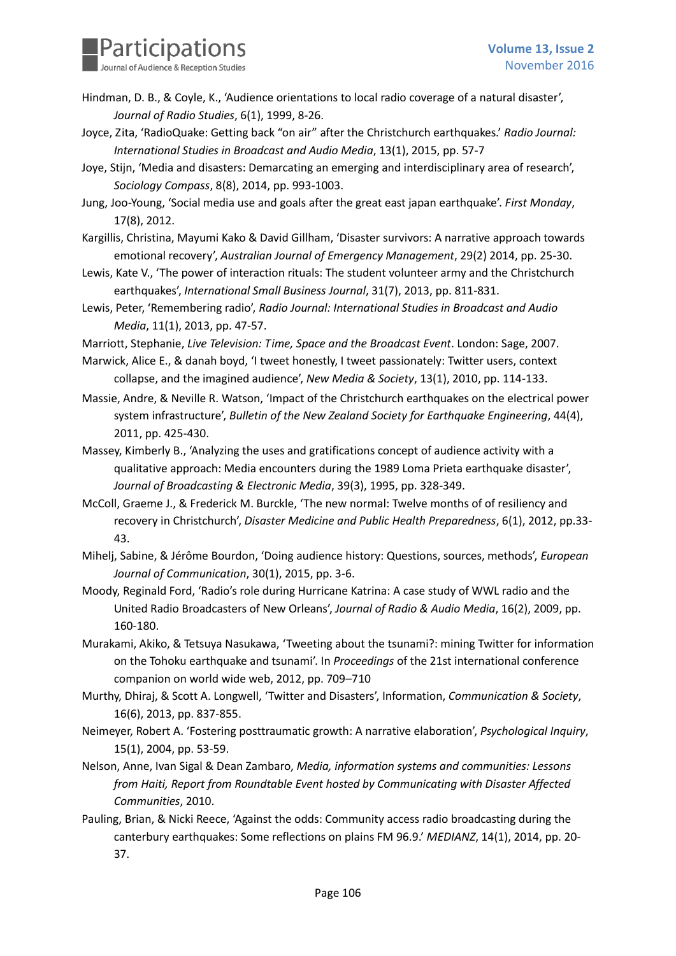

- Hindman, D. B., & Coyle, K., 'Audience orientations to local radio coverage of a natural disaster', *Journal of Radio Studies*, 6(1), 1999, 8-26.
- Joyce, Zita, 'RadioQuake: Getting back "on air" after the Christchurch earthquakes.' *Radio Journal: International Studies in Broadcast and Audio Media*, 13(1), 2015, pp. 57-7
- Joye, Stijn, 'Media and disasters: Demarcating an emerging and interdisciplinary area of research', *Sociology Compass*, 8(8), 2014, pp. 993-1003.
- Jung, Joo-Young, 'Social media use and goals after the great east japan earthquake'. *First Monday*, 17(8), 2012.
- Kargillis, Christina, Mayumi Kako & David Gillham, 'Disaster survivors: A narrative approach towards emotional recovery', *Australian Journal of Emergency Management*, 29(2) 2014, pp. 25-30.
- Lewis, Kate V., 'The power of interaction rituals: The student volunteer army and the Christchurch earthquakes', *International Small Business Journal*, 31(7), 2013, pp. 811-831.
- Lewis, Peter, 'Remembering radio', *Radio Journal: International Studies in Broadcast and Audio Media*, 11(1), 2013, pp. 47-57.

Marriott, Stephanie, *Live Television: Time, Space and the Broadcast Event*. London: Sage, 2007.

- Marwick, Alice E., & danah boyd, 'I tweet honestly, I tweet passionately: Twitter users, context collapse, and the imagined audience', *New Media & Society*, 13(1), 2010, pp. 114-133.
- Massie, Andre, & Neville R. Watson, 'Impact of the Christchurch earthquakes on the electrical power system infrastructure', *Bulletin of the New Zealand Society for Earthquake Engineering*, 44(4), 2011, pp. 425-430.
- Massey, Kimberly B., 'Analyzing the uses and gratifications concept of audience activity with a qualitative approach: Media encounters during the 1989 Loma Prieta earthquake disaster', *Journal of Broadcasting & Electronic Media*, 39(3), 1995, pp. 328-349.
- McColl, Graeme J., & Frederick M. Burckle, 'The new normal: Twelve months of of resiliency and recovery in Christchurch', *Disaster Medicine and Public Health Preparedness*, 6(1), 2012, pp.33- 43.
- Mihelj, Sabine, & Jérôme Bourdon, 'Doing audience history: Questions, sources, methods', *European Journal of Communication*, 30(1), 2015, pp. 3-6.
- Moody, Reginald Ford, 'Radio's role during Hurricane Katrina: A case study of WWL radio and the United Radio Broadcasters of New Orleans', *Journal of Radio & Audio Media*, 16(2), 2009, pp. 160-180.
- Murakami, Akiko, & Tetsuya Nasukawa, 'Tweeting about the tsunami?: mining Twitter for information on the Tohoku earthquake and tsunami'. In *Proceedings* of the 21st international conference companion on world wide web, 2012, pp. 709–710
- Murthy, Dhiraj, & Scott A. Longwell, 'Twitter and Disasters', Information, *Communication & Society*, 16(6), 2013, pp. 837-855.
- Neimeyer, Robert A. 'Fostering posttraumatic growth: A narrative elaboration', *Psychological Inquiry*, 15(1), 2004, pp. 53-59.
- Nelson, Anne, Ivan Sigal & Dean Zambaro, *Media, information systems and communities: Lessons from Haiti, Report from Roundtable Event hosted by Communicating with Disaster Affected Communities*, 2010.
- Pauling, Brian, & Nicki Reece, 'Against the odds: Community access radio broadcasting during the canterbury earthquakes: Some reflections on plains FM 96.9.' *MEDIANZ*, 14(1), 2014, pp. 20- 37.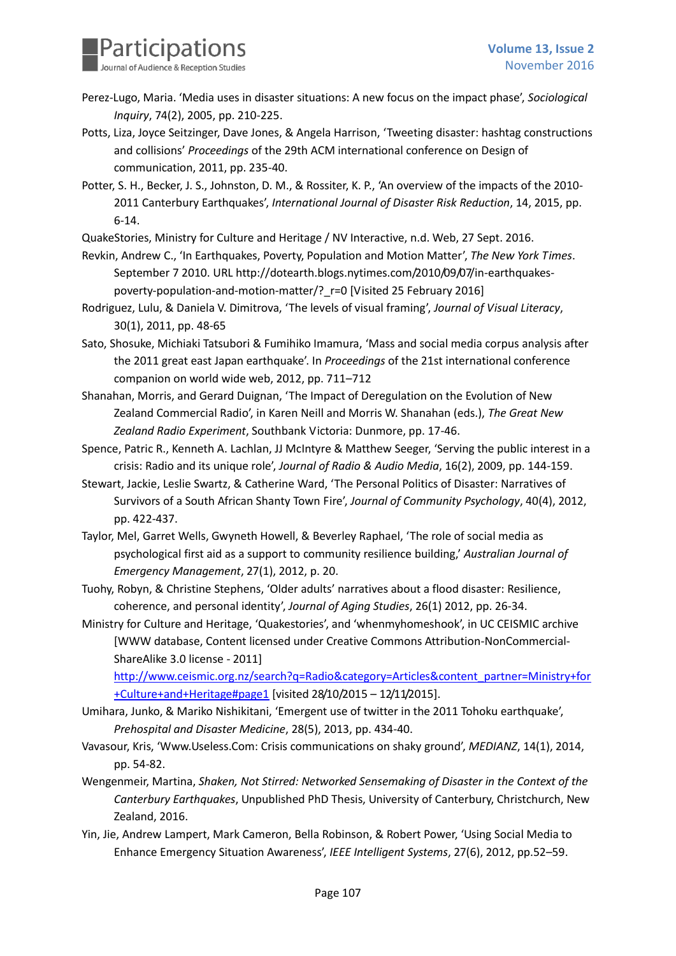

- Perez-Lugo, Maria. 'Media uses in disaster situations: A new focus on the impact phase', *Sociological Inquiry*, 74(2), 2005, pp. 210-225.
- Potts, Liza, Joyce Seitzinger, Dave Jones, & Angela Harrison, 'Tweeting disaster: hashtag constructions and collisions' *Proceedings* of the 29th ACM international conference on Design of communication, 2011, pp. 235-40.
- Potter, S. H., Becker, J. S., Johnston, D. M., & Rossiter, K. P., 'An overview of the impacts of the 2010- 2011 Canterbury Earthquakes', *International Journal of Disaster Risk Reduction*, 14, 2015, pp. 6-14.
- QuakeStories, Ministry for Culture and Heritage / NV Interactive, n.d. Web, 27 Sept. 2016.
- Revkin, Andrew C., 'In Earthquakes, Poverty, Population and Motion Matter', *The New York Times*. September 7 2010. URL http://dotearth.blogs.nytimes.com/2010/09/07/in-earthquakespoverty-population-and-motion-matter/?\_r=0 [Visited 25 February 2016]
- Rodriguez, Lulu, & Daniela V. Dimitrova, 'The levels of visual framing', *Journal of Visual Literacy*, 30(1), 2011, pp. 48-65
- Sato, Shosuke, Michiaki Tatsubori & Fumihiko Imamura, 'Mass and social media corpus analysis after the 2011 great east Japan earthquake'. In *Proceedings* of the 21st international conference companion on world wide web, 2012, pp. 711–712
- Shanahan, Morris, and Gerard Duignan, 'The Impact of Deregulation on the Evolution of New Zealand Commercial Radio', in Karen Neill and Morris W. Shanahan (eds.), *The Great New Zealand Radio Experiment*, Southbank Victoria: Dunmore, pp. 17-46.
- Spence, Patric R., Kenneth A. Lachlan, JJ McIntyre & Matthew Seeger, 'Serving the public interest in a crisis: Radio and its unique role', *Journal of Radio & Audio Media*, 16(2), 2009, pp. 144-159.
- Stewart, Jackie, Leslie Swartz, & Catherine Ward, 'The Personal Politics of Disaster: Narratives of Survivors of a South African Shanty Town Fire', *Journal of Community Psychology*, 40(4), 2012, pp. 422-437.
- Taylor, Mel, Garret Wells, Gwyneth Howell, & Beverley Raphael, 'The role of social media as psychological first aid as a support to community resilience building,' *Australian Journal of Emergency Management*, 27(1), 2012, p. 20.
- Tuohy, Robyn, & Christine Stephens, 'Older adults' narratives about a flood disaster: Resilience, coherence, and personal identity', *Journal of Aging Studies*, 26(1) 2012, pp. 26-34.
- Ministry for Culture and Heritage, 'Quakestories', and 'whenmyhomeshook', in UC CEISMIC archive [WWW database, Content licensed under Creative Commons Attribution-NonCommercial-ShareAlike 3.0 license - 2011]

[http://www.ceismic.org.nz/search?q=Radio&category=Articles&content\\_partner=Ministry+for](http://www.ceismic.org.nz/search?q=Radio&category=Articles&content_partner=Ministry+for+Culture+and+Heritage#page1) [+Culture+and+Heritage#page1](http://www.ceismic.org.nz/search?q=Radio&category=Articles&content_partner=Ministry+for+Culture+and+Heritage#page1) [visited 28/10/2015 – 12/11/2015].

- Umihara, Junko, & Mariko Nishikitani, 'Emergent use of twitter in the 2011 Tohoku earthquake', *Prehospital and Disaster Medicine*, 28(5), 2013, pp. 434-40.
- Vavasour, Kris, 'Www.Useless.Com: Crisis communications on shaky ground', *MEDIANZ*, 14(1), 2014, pp. 54-82.
- Wengenmeir, Martina, *Shaken, Not Stirred: Networked Sensemaking of Disaster in the Context of the Canterbury Earthquakes*, Unpublished PhD Thesis, University of Canterbury, Christchurch, New Zealand, 2016.
- Yin, Jie, Andrew Lampert, Mark Cameron, Bella Robinson, & Robert Power, 'Using Social Media to Enhance Emergency Situation Awareness', *IEEE Intelligent Systems*, 27(6), 2012, pp.52–59.